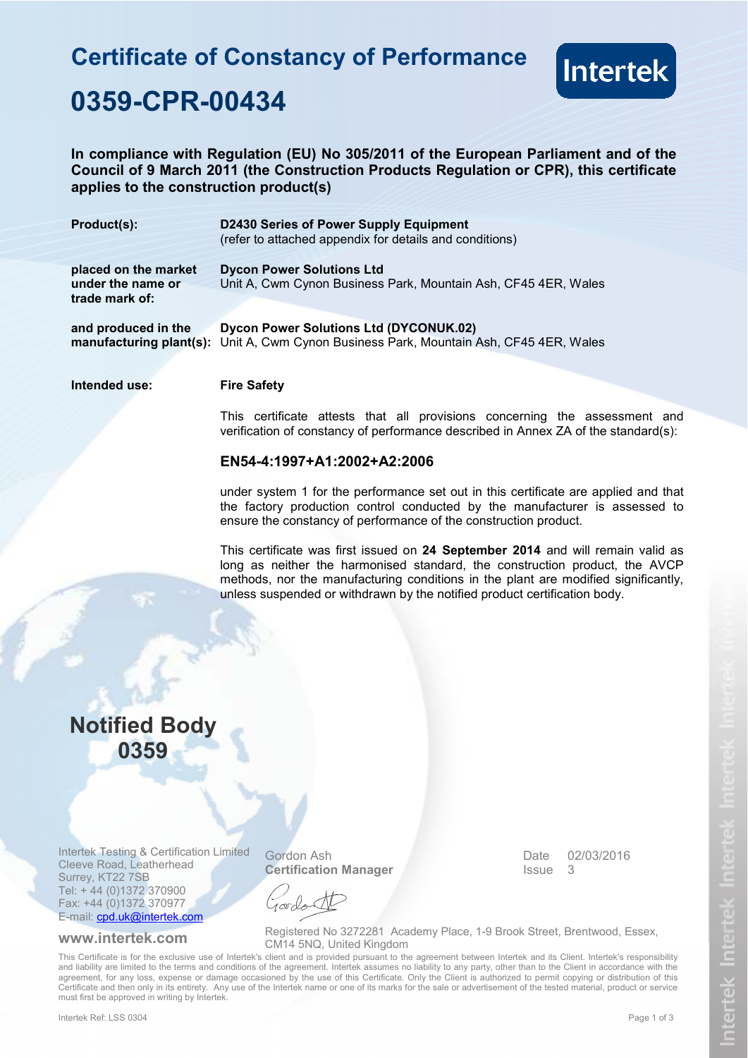## **Certificate of Constancy of Performance 0359-CPR-00434**



**In compliance with Regulation (EU) No 305/2011 of the European Parliament and of the Council of 9 March 2011 (the Construction Products Regulation or CPR), this certificate applies to the construction product(s)** 

| Product(s):                                                 | D2430 Series of Power Supply Equipment<br>(refer to attached appendix for details and conditions)                                |
|-------------------------------------------------------------|----------------------------------------------------------------------------------------------------------------------------------|
| placed on the market<br>under the name or<br>trade mark of: | <b>Dycon Power Solutions Ltd</b><br>Unit A, Cwm Cynon Business Park, Mountain Ash, CF45 4ER, Wales                               |
| and produced in the                                         | Dycon Power Solutions Ltd (DYCONUK.02)<br>manufacturing plant(s): Unit A, Cwm Cynon Business Park, Mountain Ash, CF45 4ER, Wales |

**Intended use: Fire Safety**

This certificate attests that all provisions concerning the assessment and

#### **EN54-4:1997+A1:2002+A2:2006**

under system 1 for the performance set out in this certificate are applied and that the factory production control conducted by the manufacturer is assessed to ensure the constancy of performance of the construction product.

verification of constancy of performance described in Annex ZA of the standard(s):

This certificate was first issued on **24 September 2014** and will remain valid as long as neither the harmonised standard, the construction product, the AVCP methods, nor the manufacturing conditions in the plant are modified significantly, unless suspended or withdrawn by the notified product certification body.

## **Notified Body 0359**

Intertek Testing & Certification Limited Cleeve Road, Leatherhead Surrey, KT22 7SB Tel: + 44 (0)1372 370900 Fax: +44 (0)1372 370977 E-mail: cpd.uk@intertek.com

Gordon Ash **Certification Manager** 

Date Issue 02/03/2016 3

**www.intertek.com** Registered No 3272281 Academy Place, 1-9 Brook Street, Brentwood, Essex, CM14 5NQ, United Kingdom

This Certificate is for the exclusive use of Intertek's client and is provided pursuant to the agreement between Intertek and its Client. Intertek's responsibility and liability are limited to the terms and conditions of the agreement. Intertek assumes no liability to any party, other than to the Client in accordance with the agreement, for any loss, expense or damage occasioned by the use of this Certificate. Only the Client is authorized to permit copying or distribution of this Certificate and then only in its entirety. Any use of the Intertek name or one of its marks for the sale or advertisement of the tested material, product or service must first be approved in writing by Intertek.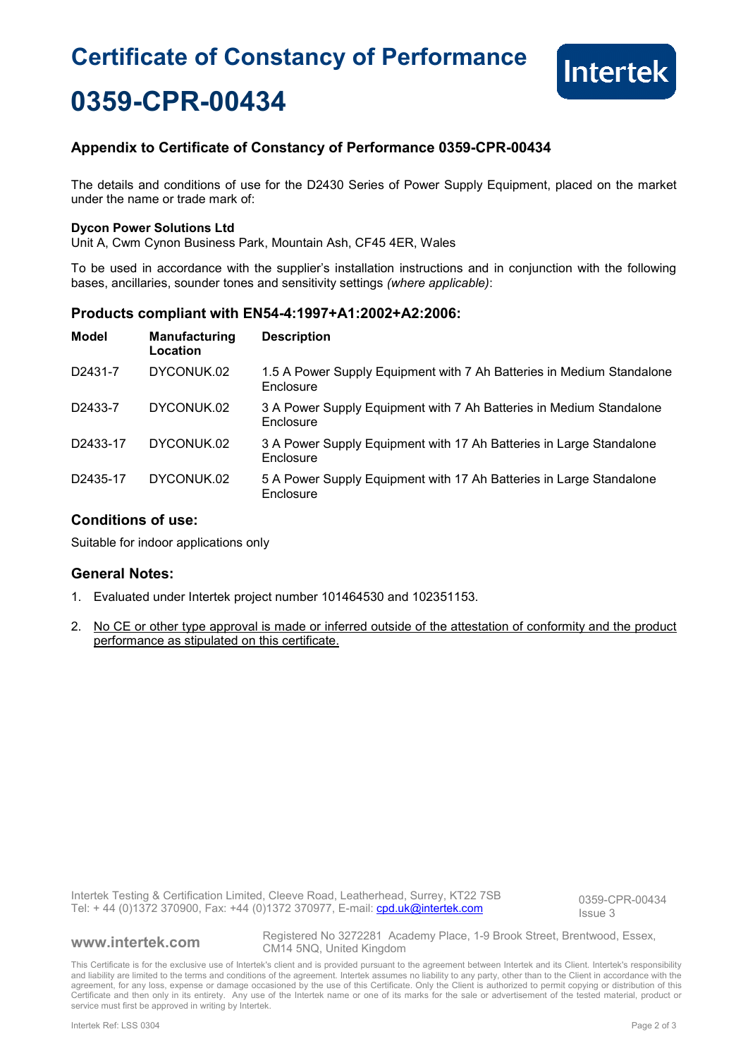# **Certificate of Constancy of Performance 0359-CPR-00434**



### **Appendix to Certificate of Constancy of Performance 0359-CPR-00434**

The details and conditions of use for the D2430 Series of Power Supply Equipment, placed on the market under the name or trade mark of:

#### **Dycon Power Solutions Ltd**

Unit A, Cwm Cynon Business Park, Mountain Ash, CF45 4ER, Wales

To be used in accordance with the supplier's installation instructions and in conjunction with the following bases, ancillaries, sounder tones and sensitivity settings *(where applicable)*:

#### **Products compliant with EN54-4:1997+A1:2002+A2:2006:**

| <b>Model</b> | Manufacturing<br>Location | <b>Description</b>                                                                 |
|--------------|---------------------------|------------------------------------------------------------------------------------|
| D2431-7      | DYCONUK.02                | 1.5 A Power Supply Equipment with 7 Ah Batteries in Medium Standalone<br>Enclosure |
| D2433-7      | DYCONUK.02                | 3 A Power Supply Equipment with 7 Ah Batteries in Medium Standalone<br>Enclosure   |
| D2433-17     | DYCONUK.02                | 3 A Power Supply Equipment with 17 Ah Batteries in Large Standalone<br>Enclosure   |
| D2435-17     | DYCONUK.02                | 5 A Power Supply Equipment with 17 Ah Batteries in Large Standalone<br>Enclosure   |

### **Conditions of use:**

Suitable for indoor applications only

#### **General Notes:**

- 1. Evaluated under Intertek project number 101464530 and 102351153.
- 2. No CE or other type approval is made or inferred outside of the attestation of conformity and the product performance as stipulated on this certificate.

Intertek Testing & Certification Limited, Cleeve Road, Leatherhead, Surrey, KT22 7SB Tel: +44 (0)1372 370900, Fax: +44 (0)1372 370977, E-mail: cpd.uk@intertek.com

0359-CPR-00434 Issue 3

**www.intertek.com** Registered No 3272281 Academy Place, 1-9 Brook Street, Brentwood, Essex, CM14 5NQ, United Kingdom

This Certificate is for the exclusive use of Intertek's client and is provided pursuant to the agreement between Intertek and its Client. Intertek's responsibility and liability are limited to the terms and conditions of the agreement. Intertek assumes no liability to any party, other than to the Client in accordance with the agreement, for any loss, expense or damage occasioned by the use of this Certificate. Only the Client is authorized to permit copying or distribution of this Certificate and then only in its entirety. Any use of the Intertek name or one of its marks for the sale or advertisement of the tested material, product or service must first be approved in writing by Intertek.